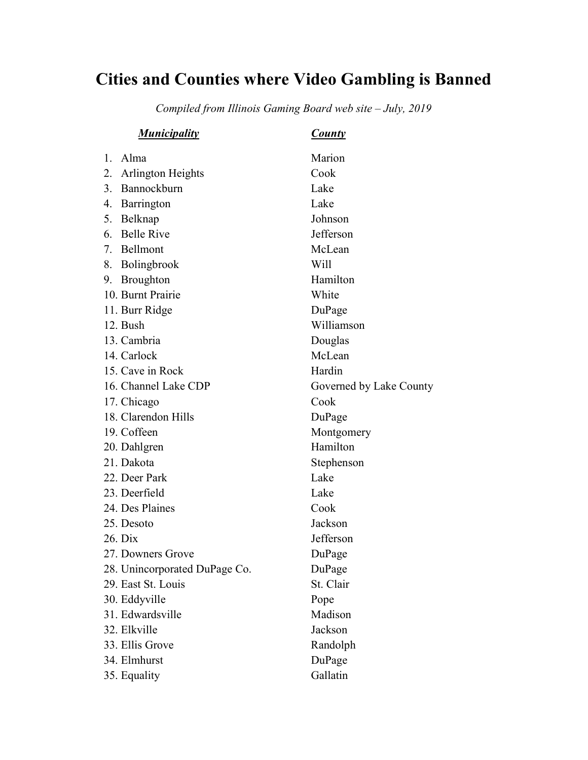## Cities and Counties where Video Gambling is Banned

Compiled from Illinois Gaming Board web site – July, 2019

| <b>Municipality</b>            | <b>County</b>           |
|--------------------------------|-------------------------|
| 1. Alma                        | Marion                  |
| <b>Arlington Heights</b><br>2. | Cook                    |
| Bannockburn<br>3.              | Lake                    |
| 4. Barrington                  | Lake                    |
| 5. Belknap                     | Johnson                 |
| <b>Belle Rive</b><br>6.        | Jefferson               |
| Bellmont<br>7.                 | McLean                  |
| 8. Bolingbrook                 | Will                    |
| 9. Broughton                   | Hamilton                |
| 10. Burnt Prairie              | White                   |
| 11. Burr Ridge                 | DuPage                  |
| 12. Bush                       | Williamson              |
| 13. Cambria                    | Douglas                 |
| 14. Carlock                    | McLean                  |
| 15. Cave in Rock               | Hardin                  |
| 16. Channel Lake CDP           | Governed by Lake County |
| 17. Chicago                    | Cook                    |
| 18. Clarendon Hills            | DuPage                  |
| 19. Coffeen                    | Montgomery              |
| 20. Dahlgren                   | Hamilton                |
| 21. Dakota                     | Stephenson              |
| 22. Deer Park                  | Lake                    |
| 23. Deerfield                  | Lake                    |
| 24. Des Plaines                | Cook                    |
| 25. Desoto                     | Jackson                 |
| 26. Dix                        | Jefferson               |
| 27. Downers Grove              | DuPage                  |
| 28. Unincorporated DuPage Co.  | DuPage                  |
| 29. East St. Louis             | St. Clair               |
| 30. Eddyville                  | Pope                    |
| 31. Edwardsville               | Madison                 |
| 32. Elkville                   | Jackson                 |
| 33. Ellis Grove                | Randolph                |
| 34. Elmhurst                   | DuPage                  |
| 35. Equality                   | Gallatin                |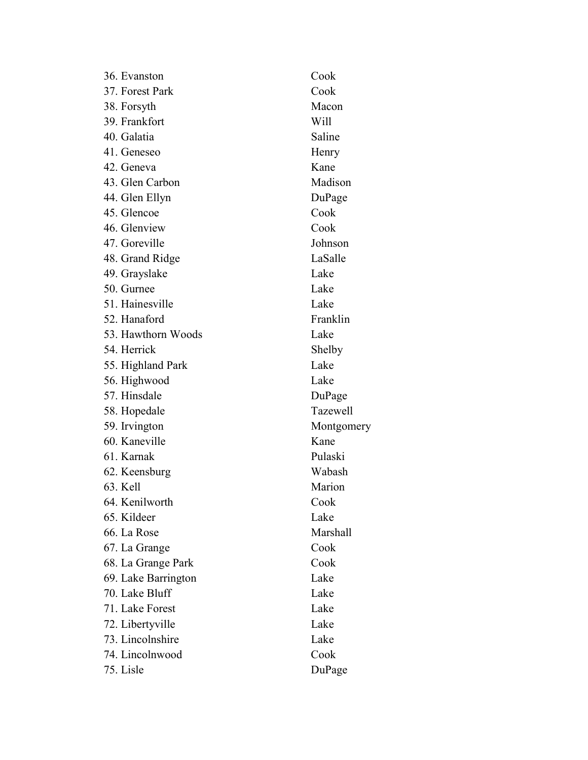| 36. Evanston        | Cook       |
|---------------------|------------|
| 37. Forest Park     | Cook       |
| 38. Forsyth         | Macon      |
| 39. Frankfort       | Will       |
| 40. Galatia         | Saline     |
| 41. Geneseo         | Henry      |
| 42. Geneva          | Kane       |
| 43. Glen Carbon     | Madison    |
| 44. Glen Ellyn      | DuPage     |
| 45. Glencoe         | Cook       |
| 46. Glenview        | Cook       |
| 47. Goreville       | Johnson    |
| 48. Grand Ridge     | LaSalle    |
| 49. Grayslake       | Lake       |
| 50. Gurnee          | Lake       |
| 51. Hainesville     | Lake       |
| 52. Hanaford        | Franklin   |
| 53. Hawthorn Woods  | Lake       |
| 54. Herrick         | Shelby     |
| 55. Highland Park   | Lake       |
| 56. Highwood        | Lake       |
| 57. Hinsdale        | DuPage     |
| 58. Hopedale        | Tazewell   |
| 59. Irvington       | Montgomery |
| 60. Kaneville       | Kane       |
| 61. Karnak          | Pulaski    |
| 62. Keensburg       | Wabash     |
| 63. Kell            | Marion     |
| 64. Kenilworth      | Cook       |
| 65. Kildeer         | Lake       |
| 66. La Rose         | Marshall   |
| 67. La Grange       | Cook       |
| 68. La Grange Park  | Cook       |
| 69. Lake Barrington | Lake       |
| 70. Lake Bluff      | Lake       |
| 71. Lake Forest     | Lake       |
| 72. Libertyville    | Lake       |
| 73. Lincolnshire    | Lake       |
| 74. Lincolnwood     | Cook       |
| 75. Lisle           | DuPage     |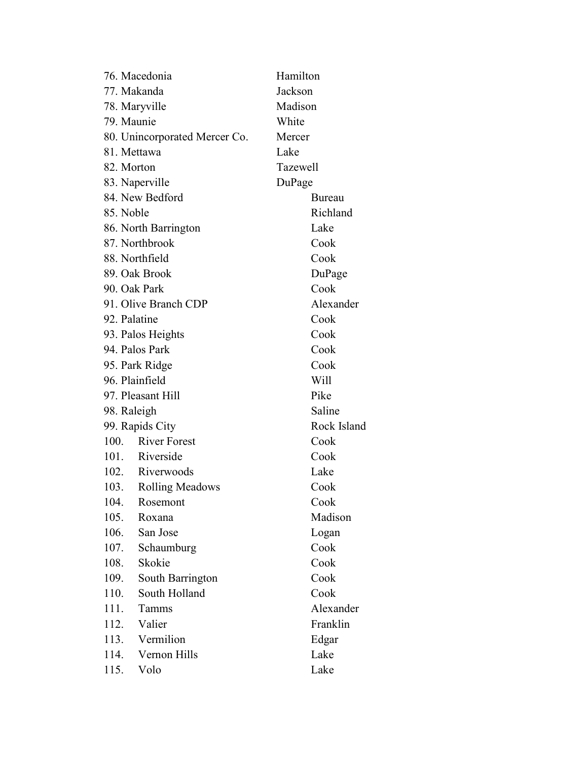|                | 76. Macedonia                 | Hamilton    |  |
|----------------|-------------------------------|-------------|--|
| 77. Makanda    |                               | Jackson     |  |
| 78. Maryville  |                               | Madison     |  |
| 79. Maunie     |                               | White       |  |
|                | 80. Unincorporated Mercer Co. | Mercer      |  |
| 81. Mettawa    |                               | Lake        |  |
| 82. Morton     |                               | Tazewell    |  |
|                | 83. Naperville                | DuPage      |  |
|                | 84. New Bedford               | Bureau      |  |
| 85. Noble      |                               | Richland    |  |
|                | 86. North Barrington          | Lake        |  |
|                | 87. Northbrook                | Cook        |  |
|                | 88. Northfield                | Cook        |  |
|                | 89. Oak Brook                 | DuPage      |  |
| 90. Oak Park   |                               | Cook        |  |
|                | 91. Olive Branch CDP          | Alexander   |  |
| 92. Palatine   |                               | Cook        |  |
|                | 93. Palos Heights             | Cook        |  |
|                | 94. Palos Park                | Cook        |  |
|                | 95. Park Ridge                | Cook        |  |
| 96. Plainfield |                               | Will        |  |
|                | 97. Pleasant Hill             | Pike        |  |
| 98. Raleigh    |                               | Saline      |  |
|                | 99. Rapids City               | Rock Island |  |
|                | 100. River Forest             | Cook        |  |
|                | 101. Riverside                | Cook        |  |
|                | 102. Riverwoods               | Lake        |  |
|                | 103. Rolling Meadows          | Cook        |  |
| 104.           | Rosemont                      | Cook        |  |
| 105.           | Roxana                        | Madison     |  |
| 106.           | San Jose                      | Logan       |  |
| 107.           | Schaumburg                    | Cook        |  |
| 108.           | Skokie                        | Cook        |  |
| 109.           | South Barrington              | Cook        |  |
| 110.           | South Holland                 | Cook        |  |
| 111.           | <b>Tamms</b>                  | Alexander   |  |
| 112.           | Valier                        | Franklin    |  |
| 113.           | Vermilion                     | Edgar       |  |
| 114.           | Vernon Hills                  | Lake        |  |
| 115.           | Volo                          | Lake        |  |